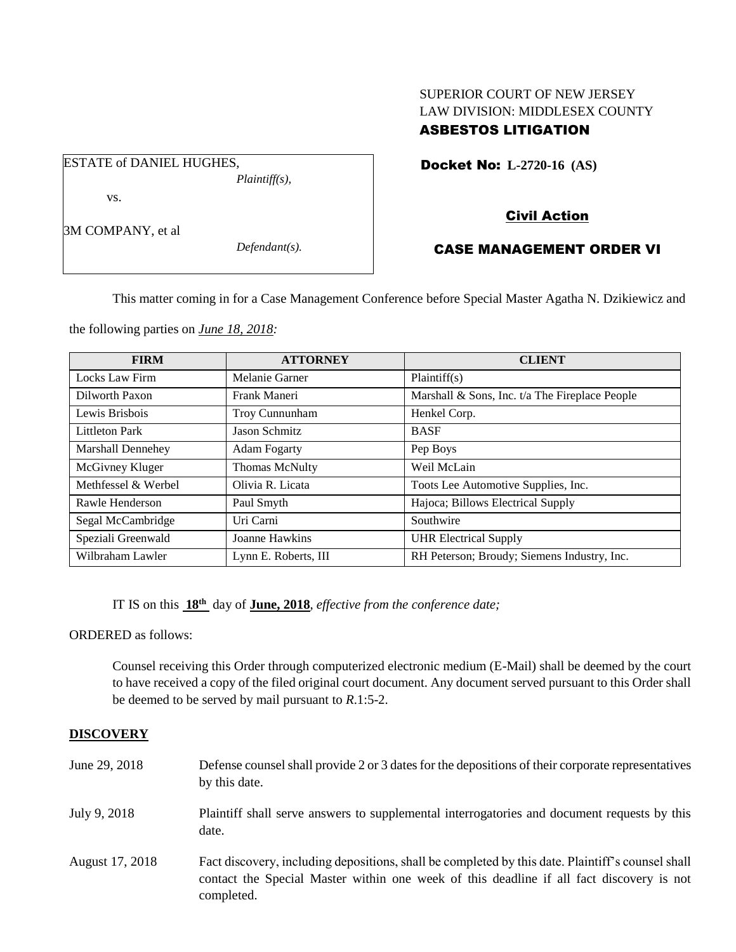# SUPERIOR COURT OF NEW JERSEY LAW DIVISION: MIDDLESEX COUNTY ASBESTOS LITIGATION

Docket No: **L-2720-16 (AS)** 

vs.

ESTATE of DANIEL HUGHES,

3M COMPANY, et al

*Defendant(s).*

*Plaintiff(s),*

# Civil Action

# CASE MANAGEMENT ORDER VI

This matter coming in for a Case Management Conference before Special Master Agatha N. Dzikiewicz and

the following parties on *June 18, 2018:*

| <b>FIRM</b>           | <b>ATTORNEY</b>      | <b>CLIENT</b>                                  |
|-----------------------|----------------------|------------------------------------------------|
| Locks Law Firm        | Melanie Garner       | Plaintiff(s)                                   |
| Dilworth Paxon        | Frank Maneri         | Marshall & Sons, Inc. t/a The Fireplace People |
| Lewis Brisbois        | Troy Cunnunham       | Henkel Corp.                                   |
| <b>Littleton Park</b> | <b>Jason Schmitz</b> | <b>BASF</b>                                    |
| Marshall Dennehey     | <b>Adam Fogarty</b>  | Pep Boys                                       |
| McGivney Kluger       | Thomas McNulty       | Weil McLain                                    |
| Methfessel & Werbel   | Olivia R. Licata     | Toots Lee Automotive Supplies, Inc.            |
| Rawle Henderson       | Paul Smyth           | Hajoca; Billows Electrical Supply              |
| Segal McCambridge     | Uri Carni            | Southwire                                      |
| Speziali Greenwald    | Joanne Hawkins       | <b>UHR Electrical Supply</b>                   |
| Wilbraham Lawler      | Lynn E. Roberts, III | RH Peterson; Broudy; Siemens Industry, Inc.    |

IT IS on this **18th** day of **June, 2018**, *effective from the conference date;*

ORDERED as follows:

Counsel receiving this Order through computerized electronic medium (E-Mail) shall be deemed by the court to have received a copy of the filed original court document. Any document served pursuant to this Order shall be deemed to be served by mail pursuant to *R*.1:5-2.

# **DISCOVERY**

| June 29, 2018   | Defense counsel shall provide 2 or 3 dates for the depositions of their corporate representatives<br>by this date.                                                                                          |
|-----------------|-------------------------------------------------------------------------------------------------------------------------------------------------------------------------------------------------------------|
| July 9, 2018    | Plaintiff shall serve answers to supplemental interrogatories and document requests by this<br>date.                                                                                                        |
| August 17, 2018 | Fact discovery, including depositions, shall be completed by this date. Plaintiff's counsel shall<br>contact the Special Master within one week of this deadline if all fact discovery is not<br>completed. |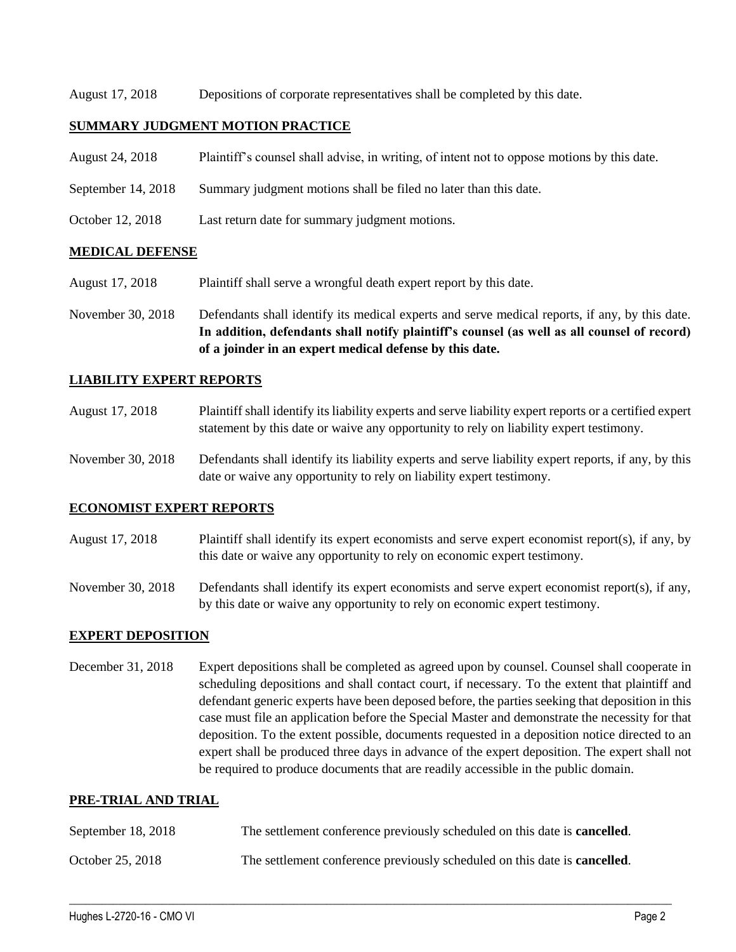August 17, 2018 Depositions of corporate representatives shall be completed by this date.

# **SUMMARY JUDGMENT MOTION PRACTICE**

- August 24, 2018 Plaintiff's counsel shall advise, in writing, of intent not to oppose motions by this date.
- September 14, 2018 Summary judgment motions shall be filed no later than this date.
- October 12, 2018 Last return date for summary judgment motions.

## **MEDICAL DEFENSE**

- August 17, 2018 Plaintiff shall serve a wrongful death expert report by this date.
- November 30, 2018 Defendants shall identify its medical experts and serve medical reports, if any, by this date. **In addition, defendants shall notify plaintiff's counsel (as well as all counsel of record) of a joinder in an expert medical defense by this date.**

## **LIABILITY EXPERT REPORTS**

- August 17, 2018 Plaintiff shall identify its liability experts and serve liability expert reports or a certified expert statement by this date or waive any opportunity to rely on liability expert testimony.
- November 30, 2018 Defendants shall identify its liability experts and serve liability expert reports, if any, by this date or waive any opportunity to rely on liability expert testimony.

### **ECONOMIST EXPERT REPORTS**

- August 17, 2018 Plaintiff shall identify its expert economists and serve expert economist report(s), if any, by this date or waive any opportunity to rely on economic expert testimony.
- November 30, 2018 Defendants shall identify its expert economists and serve expert economist report(s), if any, by this date or waive any opportunity to rely on economic expert testimony.

### **EXPERT DEPOSITION**

December 31, 2018 Expert depositions shall be completed as agreed upon by counsel. Counsel shall cooperate in scheduling depositions and shall contact court, if necessary. To the extent that plaintiff and defendant generic experts have been deposed before, the parties seeking that deposition in this case must file an application before the Special Master and demonstrate the necessity for that deposition. To the extent possible, documents requested in a deposition notice directed to an expert shall be produced three days in advance of the expert deposition. The expert shall not be required to produce documents that are readily accessible in the public domain.

### **PRE-TRIAL AND TRIAL**

| September 18, 2018 | The settlement conference previously scheduled on this date is <b>cancelled</b> . |
|--------------------|-----------------------------------------------------------------------------------|
| October 25, 2018   | The settlement conference previously scheduled on this date is <b>cancelled</b> . |

 $\_$  ,  $\_$  ,  $\_$  ,  $\_$  ,  $\_$  ,  $\_$  ,  $\_$  ,  $\_$  ,  $\_$  ,  $\_$  ,  $\_$  ,  $\_$  ,  $\_$  ,  $\_$  ,  $\_$  ,  $\_$  ,  $\_$  ,  $\_$  ,  $\_$  ,  $\_$  ,  $\_$  ,  $\_$  ,  $\_$  ,  $\_$  ,  $\_$  ,  $\_$  ,  $\_$  ,  $\_$  ,  $\_$  ,  $\_$  ,  $\_$  ,  $\_$  ,  $\_$  ,  $\_$  ,  $\_$  ,  $\_$  ,  $\_$  ,